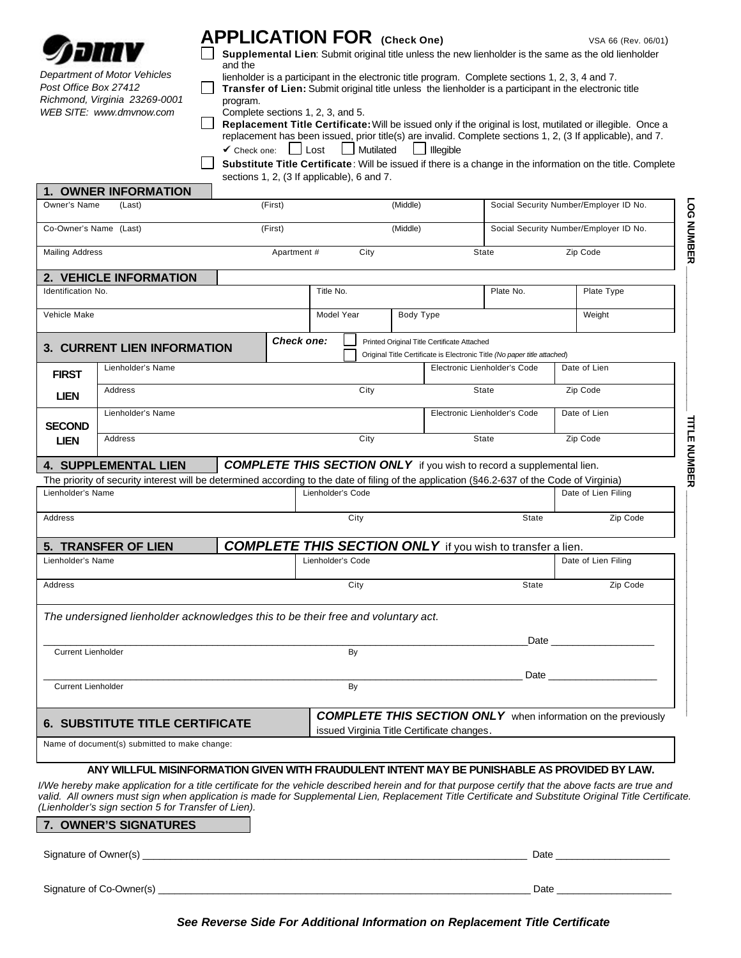

*Department of Motor Vehicles Post Office Box 27412 Richmond, Virginia 23269-0001 WEB SITE: www.dmvnow.com*

## **APPLICATION FOR** (Check One) VSA 66 (Rev. 06/01)

**LOG NUMBER \_\_\_\_\_\_\_\_\_\_\_\_\_\_\_\_\_\_\_\_\_\_\_\_\_\_\_**

LOG NUMBER

**TITLE NUMBER \_\_\_\_\_\_\_\_\_\_\_\_\_\_\_\_\_\_\_\_\_\_\_\_\_\_\_\_\_\_\_\_\_\_\_\_\_\_\_\_\_\_**

**TITLE NUMBER** 

**Supplemental Lien**: Submit original title unless the new lienholder is the same as the old lienholder  $\Box$ and the

lienholder is a participant in the electronic title program. Complete sections 1, 2, 3, 4 and 7.

 $\Box$ **Transfer of Lien:** Submit original title unless the lienholder is a participant in the electronic title program.

| Complete sections 1, 2, 3, and 5. |  |  |
|-----------------------------------|--|--|
|-----------------------------------|--|--|

**Replacement Title Certificate:** Will be issued only if the original is lost, mutilated or illegible. Once a replacement has been issued, prior title(s) are invalid. Complete sections 1, 2, (3 If applicable), and 7. **✓** Check one: Lost Mutilated Illegible

**Substitute Title Certificate**: Will be issued if there is a change in the information on the title. Complete sections 1, 2, (3 If applicable), 6 and 7.

|                                   | 1. OWNER INFORMATION                                                                                                                                                                                                                                                                                                                                                |  |                         |                      |                   |                                        |                                             |                                                                              |          |                                                                                                                |
|-----------------------------------|---------------------------------------------------------------------------------------------------------------------------------------------------------------------------------------------------------------------------------------------------------------------------------------------------------------------------------------------------------------------|--|-------------------------|----------------------|-------------------|----------------------------------------|---------------------------------------------|------------------------------------------------------------------------------|----------|----------------------------------------------------------------------------------------------------------------|
| Owner's Name                      | (Last)                                                                                                                                                                                                                                                                                                                                                              |  | (First)                 |                      | (Middle)          |                                        | Social Security Number/Employer ID No.      |                                                                              |          |                                                                                                                |
| Co-Owner's Name (Last)<br>(First) |                                                                                                                                                                                                                                                                                                                                                                     |  | (Middle)                |                      |                   | Social Security Number/Employer ID No. |                                             |                                                                              |          |                                                                                                                |
| <b>Mailing Address</b>            |                                                                                                                                                                                                                                                                                                                                                                     |  | Apartment #             |                      | City              |                                        |                                             | <b>State</b>                                                                 |          | Zip Code                                                                                                       |
|                                   | 2. VEHICLE INFORMATION                                                                                                                                                                                                                                                                                                                                              |  |                         |                      |                   |                                        |                                             |                                                                              |          |                                                                                                                |
| <b>Identification No.</b>         |                                                                                                                                                                                                                                                                                                                                                                     |  |                         | Title No.            |                   |                                        | Plate No.<br>Plate Type                     |                                                                              |          |                                                                                                                |
| Vehicle Make                      |                                                                                                                                                                                                                                                                                                                                                                     |  | Model Year<br>Body Type |                      |                   |                                        |                                             | Weight                                                                       |          |                                                                                                                |
|                                   | <b>3. CURRENT LIEN INFORMATION</b>                                                                                                                                                                                                                                                                                                                                  |  | <b>Check one:</b>       |                      |                   |                                        | Printed Original Title Certificate Attached | Original Title Certificate is Electronic Title (No paper title attached)     |          |                                                                                                                |
| <b>FIRST</b>                      | Lienholder's Name                                                                                                                                                                                                                                                                                                                                                   |  |                         |                      |                   |                                        |                                             | Electronic Lienholder's Code                                                 |          | Date of Lien                                                                                                   |
| <b>LIEN</b>                       | Address                                                                                                                                                                                                                                                                                                                                                             |  |                         |                      | City              |                                        | State                                       |                                                                              |          | Zip Code                                                                                                       |
| <b>SECOND</b>                     | Lienholder's Name                                                                                                                                                                                                                                                                                                                                                   |  |                         |                      |                   |                                        |                                             | Electronic Lienholder's Code                                                 |          | Date of Lien                                                                                                   |
| Address<br><b>LIEN</b>            |                                                                                                                                                                                                                                                                                                                                                                     |  |                         | City<br>State        |                   |                                        |                                             |                                                                              | Zip Code |                                                                                                                |
|                                   | <b>4. SUPPLEMENTAL LIEN</b>                                                                                                                                                                                                                                                                                                                                         |  |                         |                      |                   |                                        |                                             | <b>COMPLETE THIS SECTION ONLY</b> if you wish to record a supplemental lien. |          |                                                                                                                |
|                                   | The priority of security interest will be determined according to the date of filing of the application (§46.2-637 of the Code of Virginia)                                                                                                                                                                                                                         |  |                         |                      |                   |                                        |                                             |                                                                              |          |                                                                                                                |
| Lienholder's Name                 |                                                                                                                                                                                                                                                                                                                                                                     |  |                         |                      | Lienholder's Code |                                        |                                             |                                                                              |          | Date of Lien Filing                                                                                            |
| Address                           |                                                                                                                                                                                                                                                                                                                                                                     |  |                         |                      | City              |                                        |                                             | <b>State</b>                                                                 |          | Zip Code                                                                                                       |
|                                   | 5. TRANSFER OF LIEN                                                                                                                                                                                                                                                                                                                                                 |  |                         |                      |                   |                                        |                                             | <b>COMPLETE THIS SECTION ONLY</b> if you wish to transfer a lien.            |          |                                                                                                                |
| Lienholder's Name                 |                                                                                                                                                                                                                                                                                                                                                                     |  |                         | Lienholder's Code    |                   |                                        |                                             |                                                                              |          | Date of Lien Filing                                                                                            |
| Address                           |                                                                                                                                                                                                                                                                                                                                                                     |  |                         | <b>State</b><br>City |                   |                                        |                                             | Zip Code                                                                     |          |                                                                                                                |
|                                   | The undersigned lienholder acknowledges this to be their free and voluntary act.                                                                                                                                                                                                                                                                                    |  |                         |                      |                   |                                        |                                             |                                                                              |          |                                                                                                                |
|                                   |                                                                                                                                                                                                                                                                                                                                                                     |  |                         |                      |                   |                                        |                                             |                                                                              |          |                                                                                                                |
| <b>Current Lienholder</b>         |                                                                                                                                                                                                                                                                                                                                                                     |  |                         |                      | By                |                                        |                                             |                                                                              |          | Date and the set of the set of the set of the set of the set of the set of the set of the set of the set of th |
|                                   |                                                                                                                                                                                                                                                                                                                                                                     |  |                         |                      |                   |                                        |                                             | Date                                                                         |          |                                                                                                                |
| <b>Current Lienholder</b>         |                                                                                                                                                                                                                                                                                                                                                                     |  |                         |                      | By                |                                        |                                             |                                                                              |          |                                                                                                                |
|                                   | <b>6. SUBSTITUTE TITLE CERTIFICATE</b>                                                                                                                                                                                                                                                                                                                              |  |                         |                      |                   |                                        |                                             |                                                                              |          | <b>COMPLETE THIS SECTION ONLY</b> when information on the previously                                           |
|                                   | Name of document(s) submitted to make change:                                                                                                                                                                                                                                                                                                                       |  |                         |                      |                   |                                        | issued Virginia Title Certificate changes.  |                                                                              |          |                                                                                                                |
|                                   |                                                                                                                                                                                                                                                                                                                                                                     |  |                         |                      |                   |                                        |                                             |                                                                              |          |                                                                                                                |
|                                   | ANY WILLFUL MISINFORMATION GIVEN WITH FRAUDULENT INTENT MAY BE PUNISHABLE AS PROVIDED BY LAW.                                                                                                                                                                                                                                                                       |  |                         |                      |                   |                                        |                                             |                                                                              |          |                                                                                                                |
|                                   | I/We hereby make application for a title certificate for the vehicle described herein and for that purpose certify that the above facts are true and<br>valid. All owners must sign when application is made for Supplemental Lien, Replacement Title Certificate and Substitute Original Title Certificate.<br>(Lienholder's sign section 5 for Transfer of Lien). |  |                         |                      |                   |                                        |                                             |                                                                              |          |                                                                                                                |
|                                   | 7. OWNER'S SIGNATURES                                                                                                                                                                                                                                                                                                                                               |  |                         |                      |                   |                                        |                                             |                                                                              |          |                                                                                                                |
|                                   |                                                                                                                                                                                                                                                                                                                                                                     |  |                         |                      |                   |                                        |                                             |                                                                              |          |                                                                                                                |
| Signature of Owner(s)             |                                                                                                                                                                                                                                                                                                                                                                     |  |                         |                      |                   |                                        |                                             | Date                                                                         |          |                                                                                                                |



Signature of Co-Owner(s) \_\_\_\_\_\_\_\_\_\_\_\_\_\_\_\_\_\_\_\_\_\_\_\_\_\_\_\_\_\_\_\_\_\_\_\_\_\_\_\_\_\_\_\_\_\_\_\_\_\_\_\_\_\_\_\_\_\_\_\_\_\_\_\_\_\_\_\_ Date \_\_\_\_\_\_\_\_\_\_\_\_\_\_\_\_\_\_\_\_\_

*See Reverse Side For Additional Information on Replacement Title Certificate*